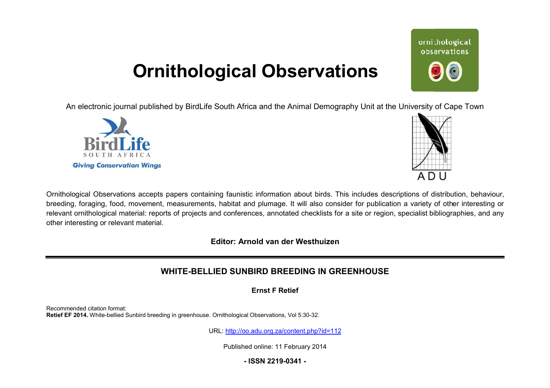# **Ornithological Observations**

An electronic journal published by BirdLife South Africa and the Animal Demography Unit at the University of Cape Town





Ornithological Observations accepts papers containing faunistic information about birds. This includes descriptions of distribution, behaviour, breeding, foraging, food, movement, measurements, habitat and plumage. It will also consider for publication a variety of other interesting or relevant ornithological material: reports of projects and conferences, annotated checklists for a site or region, specialist bibliographies, and any other interesting or relevant material.

**Editor: Arnold van der Westhuizen**

## **WHITE-BELLIED BELLIED SUNBIRD BREEDING IN GREENHOUSE**

**Ernst F Retief** 

Recommended citation format: Retief EF 2014. White-bellied Sunbird breeding in greenhouse. Ornithological Observations, Vol 5:30-32.

URL: <http://oo.adu.org.za/content.php?id=112>

Published online: 11 February 2014

**- ISSN 2219-0341 -** 

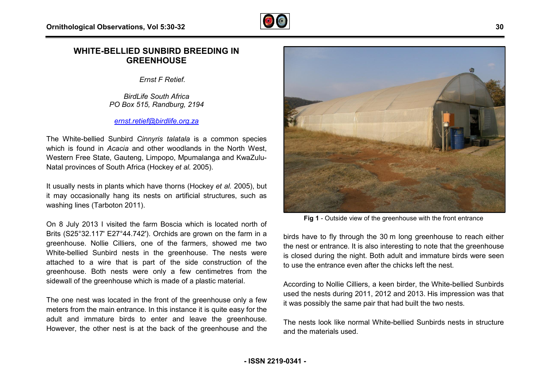

### **WHITE-BELLIED SUNBIRD BREEDING IN GREENHOUSE**

*Ernst F Retief.* 

*BirdLife South Africa PO Box 515, Randburg, 2194* 

#### *[ernst.retief@birdlife.org.za](mailto:ernst.retief@birdlife.org.za)*

The White-bellied Sunbird Cinnyris talatala is a common species which is found in *Acacia* and other woodlands in the North West, Western Free State, Gauteng, Limpopo, Mpumalanga and KwaZulu-Natal provinces of South Africa (Hockey *et al.* 2005).

It usually nests in plants which have thorns (Hockey *et al.* 2005), but it may occasionally hang its nests on artificial structures, such as washing lines (Tarboton 2011).

On 8 July 2013 I visited the farm Boscia which is located north of Brits (S25°32.117' E27°44.742'). Orchids are grown on the farm in a greenhouse. Nollie Cilliers, one of the farmers, showed me two White-bellied Sunbird nests in the greenhouse. The nests were attached to a wire that is part of the side construction of the greenhouse. Both nests were only a few centimetres from the sidewall of the greenhouse which is made of a plastic material.

The one nest was located in the front of the greenhouse only a few meters from the main entrance. In this instance it is quite easy for the adult and immature birds to enter and leave the greenhouse. meters from the main entrance. In this instance it is quite easy for the<br>adult and immature birds to enter and leave the greenhouse.<br>However, the other nest is at the back of the greenhouse and the



**Fig 1** - Outside view of the greenhouse with the front entrance

birds have to fly through the 30 m long greenhouse to reach either the nest or entrance. It is also interesting to note that the greenhouse is closed during the night. Both adult and immature birds were seen to use the entrance even after the chicks left the nest.

According to Nollie Cilliers, a keen birder, the White White-bellied Sunbirds used the nests during 2011, 2012 and 2013. His impression was that it was possibly the same pair that had built the two nests.

The nests look like normal White-bellied Sunbirds nests in structure and the materials used.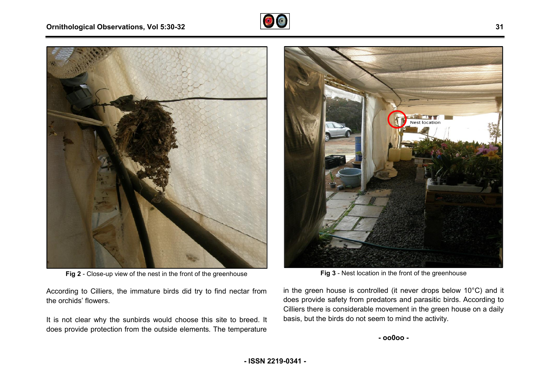#### **Ornithological Observations, Vol 5:30-32**





Fig 2 - Close-up view of the nest in the front of the greenhouse

According to Cilliers, the immature birds did try to find nectar from the orchids' flowers.

It is not clear why the sunbirds would choose this site to breed. It does provide protection from the outside elements. The temperature y to find nectar from<br>this site to breed. It<br>ints. The temperature



**Fig 3** - Nest location in the front of the greenhouse

in the green house is controlled (it never drops below  $10^{\circ}$ C) and it does provide safety from predators and parasitic birds. According to Cilliers there is considerable movement in the green house on a daily basis, but the birds do not seem to mind the activity.

**- ISSN 2219-0341 -**